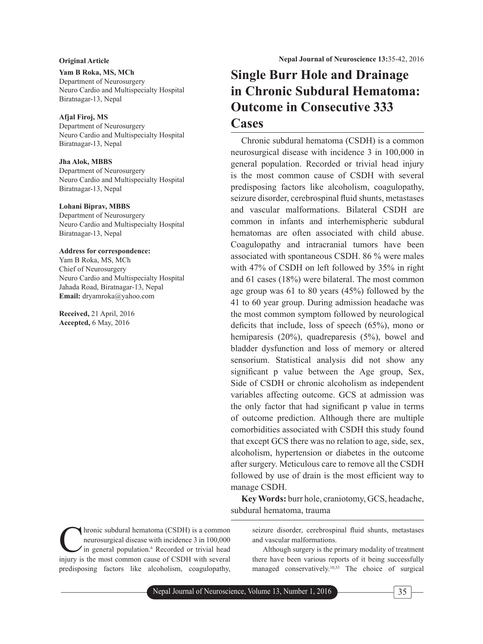# **Yam B Roka, MS, MCh**

Department of Neurosurgery Neuro Cardio and Multispecialty Hospital Biratnagar-13, Nepal

# **Afjal Firoj, MS**

Department of Neurosurgery Neuro Cardio and Multispecialty Hospital Biratnagar-13, Nepal

# **Jha Alok, MBBS**

Department of Neurosurgery Neuro Cardio and Multispecialty Hospital Biratnagar-13, Nepal

# **Lohani Biprav, MBBS**

Department of Neurosurgery Neuro Cardio and Multispecialty Hospital Biratnagar-13, Nepal

## **Address for correspondence:**

Yam B Roka, MS, MCh Chief of Neurosurgery Neuro Cardio and Multispecialty Hospital Jahada Road, Biratnagar-13, Nepal **Email:** dryamroka@yahoo.com

**Received,** 21 April, 2016 **Accepted,** 6 May, 2016

hronic subdural hematoma (CSDH) is a common neurosurgical disease with incidence 3 in 100,000 in general population.<sup>6</sup> Recorded or trivial head injury is the most common cause of CSDH with several predisposing factors like alcoholism, coagulopathy,

# **Single Burr Hole and Drainage in Chronic Subdural Hematoma: Outcome in Consecutive 333 Cases**

Chronic subdural hematoma (CSDH) is a common neurosurgical disease with incidence 3 in 100,000 in general population. Recorded or trivial head injury is the most common cause of CSDH with several predisposing factors like alcoholism, coagulopathy, seizure disorder, cerebrospinal fluid shunts, metastases and vascular malformations. Bilateral CSDH are common in infants and interhemispheric subdural hematomas are often associated with child abuse. Coagulopathy and intracranial tumors have been associated with spontaneous CSDH. 86 % were males with 47% of CSDH on left followed by 35% in right and 61 cases (18%) were bilateral. The most common age group was 61 to 80 years (45%) followed by the 41 to 60 year group. During admission headache was the most common symptom followed by neurological deficits that include, loss of speech  $(65\%)$ , mono or hemiparesis (20%), quadreparesis (5%), bowel and bladder dysfunction and loss of memory or altered sensorium. Statistical analysis did not show any significant p value between the Age group, Sex, Side of CSDH or chronic alcoholism as independent variables affecting outcome. GCS at admission was the only factor that had significant p value in terms of outcome prediction. Although there are multiple comorbidities associated with CSDH this study found that except GCS there was no relation to age, side, sex, alcoholism, hypertension or diabetes in the outcome after surgery. Meticulous care to remove all the CSDH followed by use of drain is the most efficient way to manage CSDH.

**Key Words:** burr hole, craniotomy, GCS, headache, subdural hematoma, trauma

seizure disorder, cerebrospinal fluid shunts, metastases and vascular malformations.

Although surgery is the primary modality of treatment there have been various reports of it being successfully managed conservatively.10,33 The choice of surgical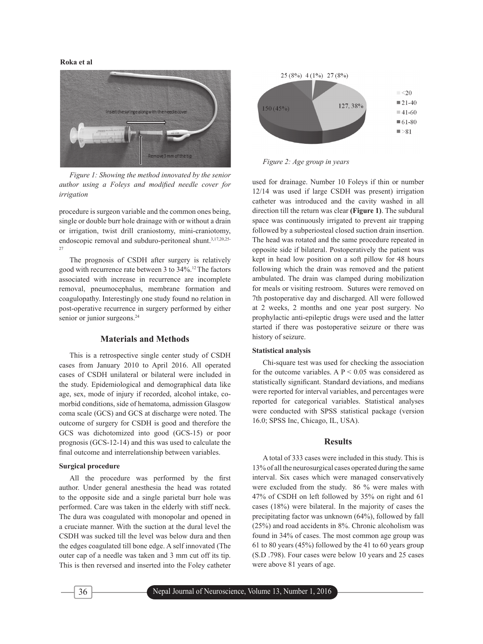

*Figure 1: Showing the method innovated by the senior*  author using a Foleys and modified needle cover for *irrigation*

procedure is surgeon variable and the common ones being, single or double burr hole drainage with or without a drain or irrigation, twist drill craniostomy, mini-craniotomy, endoscopic removal and subduro-peritoneal shunt.<sup>3,17,20,25-</sup> 27

The prognosis of CSDH after surgery is relatively good with recurrence rate between 3 to 34%.12 The factors associated with increase in recurrence are incomplete removal, pneumocephalus, membrane formation and coagulopathy. Interestingly one study found no relation in post-operative recurrence in surgery performed by either senior or junior surgeons.<sup>24</sup>

# **Materials and Methods**

This is a retrospective single center study of CSDH cases from January 2010 to April 2016. All operated cases of CSDH unilateral or bilateral were included in the study. Epidemiological and demographical data like age, sex, mode of injury if recorded, alcohol intake, comorbid conditions, side of hematoma, admission Glasgow coma scale (GCS) and GCS at discharge were noted. The outcome of surgery for CSDH is good and therefore the GCS was dichotomized into good (GCS-15) or poor prognosis (GCS-12-14) and this was used to calculate the final outcome and interrelationship between variables.

#### **Surgical procedure**

All the procedure was performed by the first author. Under general anesthesia the head was rotated to the opposite side and a single parietal burr hole was performed. Care was taken in the elderly with stiff neck. The dura was coagulated with monopolar and opened in a cruciate manner. With the suction at the dural level the CSDH was sucked till the level was below dura and then the edges coagulated till bone edge. A self innovated (The outer cap of a needle was taken and 3 mm cut off its tip. This is then reversed and inserted into the Foley catheter



*Figure 2: Age group in years*

used for drainage. Number 10 Foleys if thin or number 12/14 was used if large CSDH was present) irrigation catheter was introduced and the cavity washed in all direction till the return was clear **(Figure 1)**. The subdural space was continuously irrigated to prevent air trapping followed by a subperiosteal closed suction drain insertion. The head was rotated and the same procedure repeated in opposite side if bilateral. Postoperatively the patient was kept in head low position on a soft pillow for 48 hours following which the drain was removed and the patient ambulated. The drain was clamped during mobilization for meals or visiting restroom. Sutures were removed on 7th postoperative day and discharged. All were followed at 2 weeks, 2 months and one year post surgery. No prophylactic anti-epileptic drugs were used and the latter started if there was postoperative seizure or there was history of seizure.

#### **Statistical analysis**

Chi-square test was used for checking the association for the outcome variables. A  $P < 0.05$  was considered as statistically significant. Standard deviations, and medians were reported for interval variables, and percentages were reported for categorical variables. Statistical analyses were conducted with SPSS statistical package (version 16.0; SPSS Inc, Chicago, IL, USA).

### **Results**

A total of 333 cases were included in this study. This is 13% of all the neurosurgical cases operated during the same interval. Six cases which were managed conservatively were excluded from the study. 86 % were males with 47% of CSDH on left followed by 35% on right and 61 cases (18%) were bilateral. In the majority of cases the precipitating factor was unknown (64%), followed by fall (25%) and road accidents in 8%. Chronic alcoholism was found in 34% of cases. The most common age group was 61 to 80 years (45%) followed by the 41 to 60 years group (S.D .798). Four cases were below 10 years and 25 cases were above 81 years of age.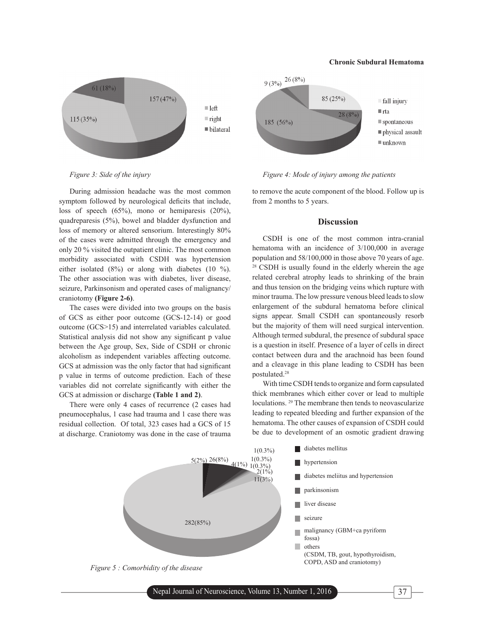#### **Chronic Subdural Hematoma**



*Figure 3: Side of the injury*  $Figure 4$ : Mode of *injury among the patients* 

During admission headache was the most common symptom followed by neurological deficits that include, loss of speech (65%), mono or hemiparesis (20%), quadreparesis (5%), bowel and bladder dysfunction and loss of memory or altered sensorium. Interestingly 80% of the cases were admitted through the emergency and only 20 % visited the outpatient clinic. The most common morbidity associated with CSDH was hypertension either isolated (8%) or along with diabetes (10 %). The other association was with diabetes, liver disease, seizure, Parkinsonism and operated cases of malignancy/ craniotomy **(Figure 2-6)**.

The cases were divided into two groups on the basis of GCS as either poor outcome (GCS-12-14) or good outcome (GCS>15) and interrelated variables calculated. Statistical analysis did not show any significant p value between the Age group, Sex, Side of CSDH or chronic alcoholism as independent variables affecting outcome. GCS at admission was the only factor that had significant p value in terms of outcome prediction. Each of these variables did not correlate significantly with either the GCS at admission or discharge **(Table 1 and 2)**.

There were only 4 cases of recurrence (2 cases had pneumocephalus, 1 case had trauma and 1 case there was residual collection. Of total, 323 cases had a GCS of 15 at discharge. Craniotomy was done in the case of trauma

to remove the acute component of the blood. Follow up is from 2 months to 5 years.

# **Discussion**

CSDH is one of the most common intra-cranial hematoma with an incidence of 3/100,000 in average population and 58/100,000 in those above 70 years of age. 28 CSDH is usually found in the elderly wherein the age related cerebral atrophy leads to shrinking of the brain and thus tension on the bridging veins which rupture with minor trauma. The low pressure venous bleed leads to slow enlargement of the subdural hematoma before clinical signs appear. Small CSDH can spontaneously resorb but the majority of them will need surgical intervention. Although termed subdural, the presence of subdural space is a question in itself. Presence of a layer of cells in direct contact between dura and the arachnoid has been found and a cleavage in this plane leading to CSDH has been postulated.28

With time CSDH tends to organize and form capsulated thick membranes which either cover or lead to multiple loculations. 29 The membrane then tends to neovascularize leading to repeated bleeding and further expansion of the hematoma. The other causes of expansion of CSDH could be due to development of an osmotic gradient drawing



Nepal Journal of Neuroscience, Volume 13, Number 1, 2016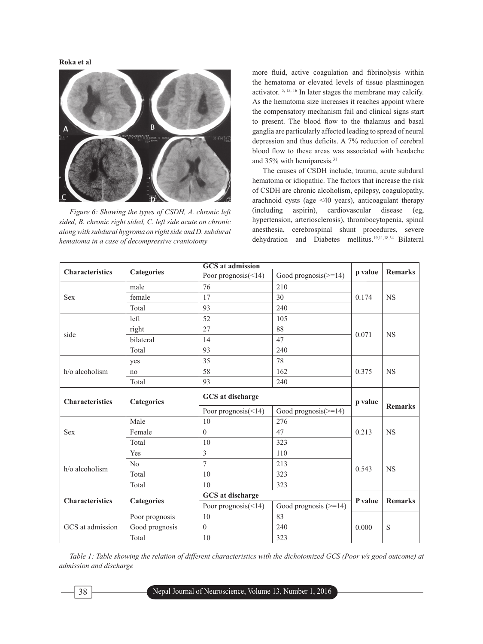

*Figure 6: Showing the types of CSDH, A. chronic left sided, B. chronic right sided, C. left side acute on chronic along with subdural hygroma on right side and D. subdural hematoma in a case of decompressive craniotomy*

more fluid, active coagulation and fibrinolysis within the hematoma or elevated levels of tissue plasminogen activator. 5, 15, 16 In later stages the membrane may calcify. As the hematoma size increases it reaches appoint where the compensatory mechanism fail and clinical signs start to present. The blood flow to the thalamus and basal ganglia are particularly affected leading to spread of neural depression and thus deficits. A 7% reduction of cerebral blood flow to these areas was associated with headache and 35% with hemiparesis.31

The causes of CSDH include, trauma, acute subdural hematoma or idiopathic. The factors that increase the risk of CSDH are chronic alcoholism, epilepsy, coagulopathy, arachnoid cysts (age <40 years), anticoagulant therapy (including aspirin), cardiovascular disease (eg, hypertension, arteriosclerosis), thrombocytopenia, spinal anesthesia, cerebrospinal shunt procedures, severe dehydration and Diabetes mellitus.19,11,18,34 Bilateral

|                        | <b>Categories</b> | <b>GCS</b> at admission    |                         |         |                |
|------------------------|-------------------|----------------------------|-------------------------|---------|----------------|
| <b>Characteristics</b> |                   | Poor prognosis(<14)        | Good prognosis $(>=14)$ | p value | <b>Remarks</b> |
| <b>Sex</b>             | male              | 76                         | 210                     |         | <b>NS</b>      |
|                        | female            | 17                         | 30                      | 0.174   |                |
|                        | Total             | 93                         | 240                     |         |                |
| side                   | left              | 52                         | 105                     |         | <b>NS</b>      |
|                        | right             | 27                         | 88                      | 0.071   |                |
|                        | bilateral         | 14                         | 47                      |         |                |
|                        | Total             | 93                         | 240                     |         |                |
| h/o alcoholism         | yes               | 35                         | 78                      |         | <b>NS</b>      |
|                        | no                | 58                         | 162                     | 0.375   |                |
|                        | Total             | 93                         | 240                     |         |                |
| <b>Characteristics</b> | <b>Categories</b> | GCS at discharge           |                         | p value |                |
|                        |                   | Poor prognosis $(\leq 14)$ | Good prognosis $(>=14)$ |         | <b>Remarks</b> |
| <b>Sex</b>             | Male              | 10                         | 276                     |         | <b>NS</b>      |
|                        | Female            | $\theta$                   | 47                      | 0.213   |                |
|                        | Total             | 10                         | 323                     |         |                |
| h/o alcoholism         | Yes               | $\overline{3}$             | 110                     |         | <b>NS</b>      |
|                        | No                | $\overline{7}$             | 213                     | 0.543   |                |
|                        | Total             | 10                         | 323                     |         |                |
|                        | Total             | 10                         | 323                     |         |                |
| <b>Characteristics</b> | <b>Categories</b> | GCS at discharge           |                         | P value | <b>Remarks</b> |
|                        |                   | Poor prognosis $(\leq 14)$ | Good prognosis $(>=14)$ |         |                |
| GCS at admission       | Poor prognosis    | 10                         | 83                      |         |                |
|                        | Good prognosis    | $\mathbf{0}$               | 240                     | 0.000   | S              |
|                        | Total             | 10                         | 323                     |         |                |

*Table 1: Table showing the relation of different characteristics with the dichotomized GCS (Poor v/s good outcome) at admission and discharge*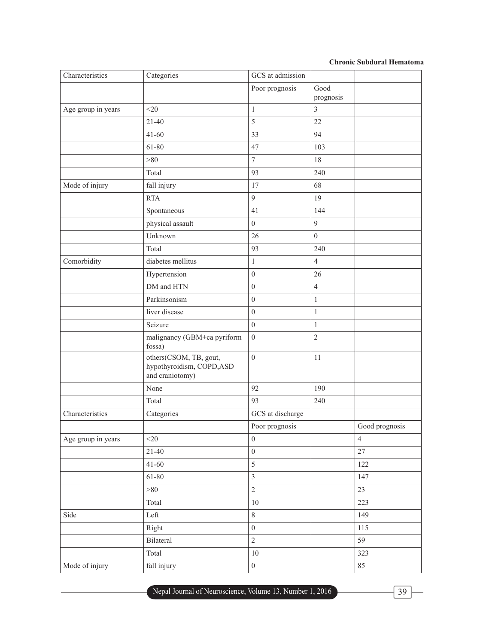# **Chronic Subdural Hematoma**

| Characteristics    | Categories                                                             | GCS at admission |                   |                |
|--------------------|------------------------------------------------------------------------|------------------|-------------------|----------------|
|                    |                                                                        | Poor prognosis   | Good<br>prognosis |                |
| Age group in years | $<$ 20                                                                 | $\mathbf{1}$     | 3                 |                |
|                    | $21-40$                                                                | 5                | 22                |                |
|                    | $41 - 60$                                                              | 33               | 94                |                |
|                    | 61-80                                                                  | 47               | 103               |                |
|                    | >80                                                                    | $\tau$           | 18                |                |
|                    | Total                                                                  | 93               | 240               |                |
| Mode of injury     | fall injury                                                            | 17               | 68                |                |
|                    | <b>RTA</b>                                                             | 9                | 19                |                |
|                    | Spontaneous                                                            | 41               | 144               |                |
|                    | physical assault                                                       | $\boldsymbol{0}$ | 9                 |                |
|                    | Unknown                                                                | 26               | $\boldsymbol{0}$  |                |
|                    | Total                                                                  | 93               | 240               |                |
| Comorbidity        | diabetes mellitus                                                      | $\mathbf{1}$     | $\overline{4}$    |                |
|                    | Hypertension                                                           | $\boldsymbol{0}$ | 26                |                |
|                    | DM and HTN                                                             | $\boldsymbol{0}$ | $\overline{4}$    |                |
|                    | Parkinsonism                                                           | $\mathbf{0}$     | $\mathbf{1}$      |                |
|                    | liver disease                                                          | $\boldsymbol{0}$ | $\mathbf{1}$      |                |
|                    | Seizure                                                                | $\boldsymbol{0}$ | $\mathbf{1}$      |                |
|                    | malignancy (GBM+ca pyriform<br>fossa)                                  | $\boldsymbol{0}$ | $\sqrt{2}$        |                |
|                    | others(CSOM, TB, gout,<br>hypothyroidism, COPD, ASD<br>and craniotomy) | $\overline{0}$   | 11                |                |
|                    | None                                                                   | 92               | 190               |                |
|                    | Total                                                                  | 93               | 240               |                |
| Characteristics    | Categories                                                             | GCS at discharge |                   |                |
|                    |                                                                        | Poor prognosis   |                   | Good prognosis |
| Age group in years | $<$ 20                                                                 | $\boldsymbol{0}$ |                   | $\overline{4}$ |
|                    | $21-40$                                                                | $\boldsymbol{0}$ |                   | 27             |
|                    | $41 - 60$                                                              | 5                |                   | 122            |
|                    | 61-80                                                                  | $\mathfrak{Z}$   |                   | 147            |
|                    | >80                                                                    | $\overline{2}$   |                   | 23             |
|                    | Total                                                                  | $10\,$           |                   | 223            |
| Side               | Left                                                                   | $8\,$            |                   | 149            |
|                    | Right                                                                  | $\overline{0}$   |                   | 115            |
|                    | Bilateral                                                              | $\overline{2}$   |                   | 59             |
|                    | Total                                                                  | $10\,$           |                   | 323            |
| Mode of injury     | fall injury                                                            | $\boldsymbol{0}$ |                   | 85             |

Nepal Journal of Neuroscience, Volume 13, Number 1, 2016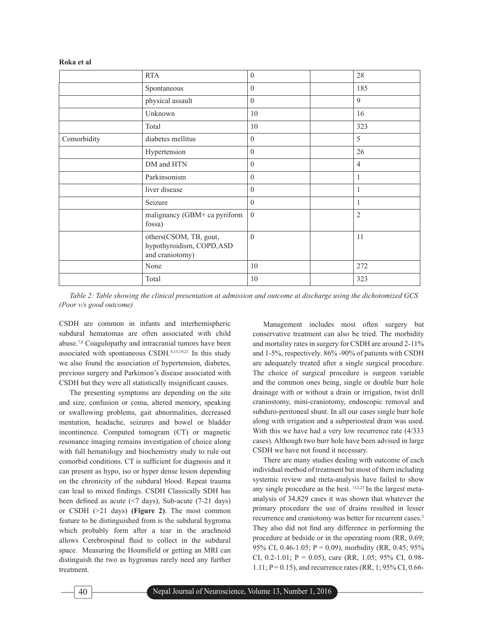|             | <b>RTA</b>                                                             | $\boldsymbol{0}$ | 28             |
|-------------|------------------------------------------------------------------------|------------------|----------------|
|             | Spontaneous                                                            | $\boldsymbol{0}$ | 185            |
|             | physical assault                                                       | $\boldsymbol{0}$ | 9              |
|             | Unknown                                                                | 10               | 16             |
|             | Total                                                                  | 10               | 323            |
| Comorbidity | diabetes mellitus                                                      | $\boldsymbol{0}$ | 5              |
|             | Hypertension                                                           | $\boldsymbol{0}$ | 26             |
|             | DM and HTN                                                             | $\boldsymbol{0}$ | $\overline{4}$ |
|             | Parkinsonism                                                           | $\boldsymbol{0}$ | $\mathbf{1}$   |
|             | liver disease                                                          | $\boldsymbol{0}$ | $\mathbf{1}$   |
|             | Seizure                                                                | $\boldsymbol{0}$ | $\mathbf{1}$   |
|             | malignancy (GBM+ ca pyriform<br>fossa)                                 | $\overline{0}$   | $\overline{2}$ |
|             | others(CSOM, TB, gout,<br>hypothyroidism, COPD, ASD<br>and craniotomy) | $\boldsymbol{0}$ | 11             |
|             | None                                                                   | 10               | 272            |
|             | Total                                                                  | 10               | 323            |

*Table 2: Table showing the clinical presentation at admission and outcome at discharge using the dichotomized GCS (Poor v/s good outcome)*

CSDH are common in infants and interhemispheric subdural hematomas are often associated with child abuse.7,8 Coagulopathy and intracranial tumors have been associated with spontaneous CSDH.4,13,19,21 In this study we also found the association of hypertension, diabetes, previous surgery and Parkinson's disease associated with CSDH but they were all statistically insignificant causes.

The presenting symptoms are depending on the site and size, confusion or coma, altered memory, speaking or swallowing problems, gait abnormalities, decreased mentation, headache, seizures and bowel or bladder incontinence. Computed tomogram (CT) or magnetic resonance imaging remains investigation of choice along with full hematology and biochemistry study to rule out comorbid conditions. CT is sufficient for diagnosis and it can present as hypo, iso or hyper dense lesion depending on the chronicity of the subdural blood. Repeat trauma can lead to mixed findings. CSDH Classically SDH has been defined as acute  $(57 \text{ days})$ , Sub-acute  $(7-21 \text{ days})$ or CSDH (>21 days) **(Figure 2)**. The most common feature to be distinguished from is the subdural hygroma which probably form after a tear in the arachnoid allows Cerebrospinal fluid to collect in the subdural space. Measuring the Hounsfield or getting an MRI can distinguish the two as hygromas rarely need any further treatment.

Management includes most often surgery but conservative treatment can also be tried. The morbidity and mortality rates in surgery for CSDH are around 2-11% and 1-5%, respectively. 86% -90% of patients with CSDH are adequately treated after a single surgical procedure. The choice of surgical procedure is surgeon variable and the common ones being, single or double burr hole drainage with or without a drain or irrigation, twist drill craniostomy, mini-craniotomy, endoscopic removal and subduro-peritoneal shunt. In all our cases single burr hole along with irrigation and a subperiosteal drain was used. With this we have had a very low recurrence rate (4/333 cases). Although two burr hole have been advised in large CSDH we have not found it necessary.

There are many studies dealing with outcome of each individual method of treatment but most of them including systemic review and meta-analysis have failed to show any single procedure as the best.  $112,23$  In the largest metaanalysis of 34,829 cases it was shown that whatever the primary procedure the use of drains resulted in lesser recurrence and craniotomy was better for recurrent cases.<sup>2</sup> They also did not find any difference in performing the procedure at bedside or in the operating room (RR, 0.69; 95% CI, 0.46-1.05;  $P = 0.09$ ), morbidity (RR, 0.45; 95%) CI, 0.2-1.01;  $P = 0.05$ ), cure (RR, 1.05; 95% CI, 0.98-1.11; P = 0.15), and recurrence rates (RR, 1; 95% CI, 0.66-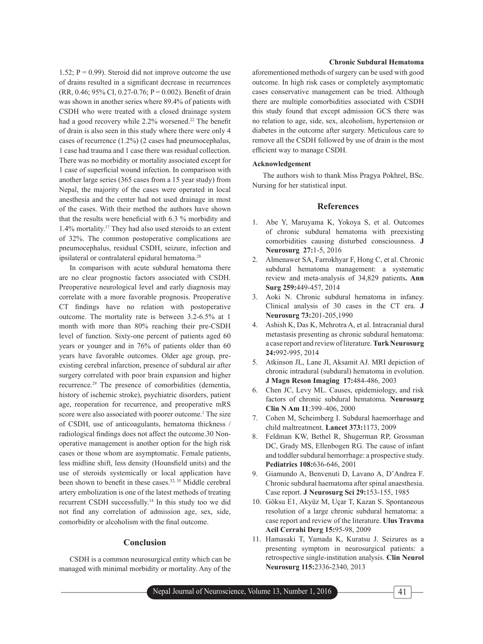1.52;  $P = 0.99$ ). Steroid did not improve outcome the use of drains resulted in a significant decrease in recurrences (RR, 0.46; 95% CI, 0.27-0.76; P = 0.002). Benefit of drain was shown in another series where 89.4% of patients with CSDH who were treated with a closed drainage system had a good recovery while 2.2% worsened.<sup>22</sup> The benefit of drain is also seen in this study where there were only 4 cases of recurrence (1.2%) (2 cases had pneumocephalus, 1 case had trauma and 1 case there was residual collection. There was no morbidity or mortality associated except for 1 case of superficial wound infection. In comparison with another large series (365 cases from a 15 year study) from Nepal, the majority of the cases were operated in local anesthesia and the center had not used drainage in most of the cases. With their method the authors have shown that the results were beneficial with  $6.3 \%$  morbidity and 1.4% mortality.17 They had also used steroids to an extent of 32%. The common postoperative complications are pneumocephalus, residual CSDH, seizure, infection and ipsilateral or contralateral epidural hematoma.<sup>28</sup>

In comparison with acute subdural hematoma there are no clear prognostic factors associated with CSDH. Preoperative neurological level and early diagnosis may correlate with a more favorable prognosis. Preoperative CT findings have no relation with postoperative outcome. The mortality rate is between 3.2-6.5% at 1 month with more than 80% reaching their pre-CSDH level of function. Sixty-one percent of patients aged 60 years or younger and in 76% of patients older than 60 years have favorable outcomes. Older age group, preexisting cerebral infarction, presence of subdural air after surgery correlated with poor brain expansion and higher recurrence.29 The presence of comorbidities (dementia, history of ischemic stroke), psychiatric disorders, patient age, reoperation for recurrence, and preoperative mRS score were also associated with poorer outcome.<sup>1</sup> The size of CSDH, use of anticoagulants, hematoma thickness / radiological findings does not affect the outcome.30 Nonoperative management is another option for the high risk cases or those whom are asymptomatic. Female patients, less midline shift, less density (Hounsfield units) and the use of steroids systemically or local application have been shown to benefit in these cases.<sup>32, 35</sup> Middle cerebral artery embolization is one of the latest methods of treating recurrent CSDH successfully.14 In this study too we did not find any correlation of admission age, sex, side, comorbidity or alcoholism with the final outcome.

### **Conclusion**

CSDH is a common neurosurgical entity which can be managed with minimal morbidity or mortality. Any of the

#### **Chronic Subdural Hematoma**

aforementioned methods of surgery can be used with good outcome. In high risk cases or completely asymptomatic cases conservative management can be tried. Although there are multiple comorbidities associated with CSDH this study found that except admission GCS there was no relation to age, side, sex, alcoholism, hypertension or diabetes in the outcome after surgery. Meticulous care to remove all the CSDH followed by use of drain is the most efficient way to manage CSDH.

#### **Acknowledgement**

The authors wish to thank Miss Pragya Pokhrel, BSc. Nursing for her statistical input.

# **References**

- 1. Abe Y, Maruyama K, Yokoya S, et al. Outcomes of chronic subdural hematoma with preexisting comorbidities causing disturbed consciousness. **J Neurosurg 27:**1-5, 2016
- 2. Almenawer SA, Farrokhyar F, Hong C, et al. Chronic subdural hematoma management: a systematic review and meta-analysis of 34,829 patients**. Ann Surg 259:**449-457, 2014
- 3. Aoki N. Chronic subdural hematoma in infancy. Clinical analysis of 30 cases in the CT era. **J Neurosurg 73:**201-205,1990
- 4. Ashish K, Das K, Mehrotra A, et al. Intracranial dural metastasis presenting as chronic subdural hematoma: a case report and review of literature. **Turk Neurosurg 24:**992-995, 2014
- 5. Atkinson JL, Lane JI, Aksamit AJ. MRI depiction of chronic intradural (subdural) hematoma in evolution. **J Magn Reson Imaging 17:**484-486, 2003
- 6. Chen JC, Levy ML. Causes, epidemiology, and risk factors of chronic subdural hematoma. **Neurosurg Clin N Am 11**:399–406, 2000
- 7. Cohen M, Scheimberg I. Subdural haemorrhage and child maltreatment. **Lancet 373:**1173, 2009
- 8. Feldman KW, Bethel R, Shugerman RP, Grossman DC, Grady MS, Ellenbogen RG. The cause of infant and toddler subdural hemorrhage: a prospective study. **Pediatrics 108:**636-646, 2001
- 9. Giamundo A, Benvenuti D, Lavano A, D'Andrea F. Chronic subdural haematoma after spinal anaesthesia. Case report. **J Neurosurg Sci 29:**153-155, 1985
- 10. Göksu E1, Akyüz M, Uçar T, Kazan S. Spontaneous resolution of a large chronic subdural hematoma: a case report and review of the literature. **Ulus Travma Acil Cerrahi Derg 15:**95-98, 2009
- 11. Hamasaki T, Yamada K, Kuratsu J. Seizures as a presenting symptom in neurosurgical patients: a retrospective single-institution analysis. **Clin Neurol Neurosurg 115:**2336-2340, 2013